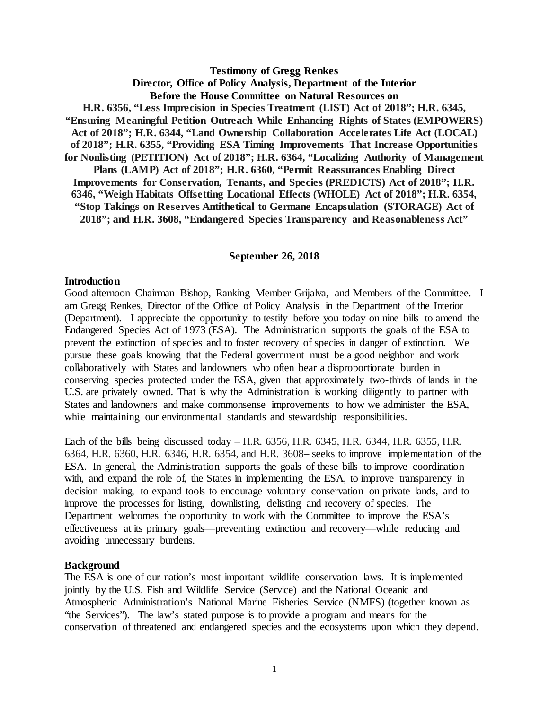**Testimony of Gregg Renkes Director, Office of Policy Analysis, Department of the Interior Before the House Committee on Natural Resources on H.R. 6356, "Less Imprecision in Species Treatment (LIST) Act of 2018"; H.R. 6345, "Ensuring Meaningful Petition Outreach While Enhancing Rights of States (EMPOWERS) Act of 2018"; H.R. 6344, "Land Ownership Collaboration Accelerates Life Act (LOCAL) of 2018"; H.R. 6355, "Providing ESA Timing Improvements That Increase Opportunities for Nonlisting (PETITION) Act of 2018"; H.R. 6364, "Localizing Authority of Management Plans (LAMP) Act of 2018"; H.R. 6360, "Permit Reassurances Enabling Direct Improvements for Conservation, Tenants, and Species (PREDICTS) Act of 2018"; H.R. 6346, "Weigh Habitats Offsetting Locational Effects (WHOLE) Act of 2018"; H.R. 6354, "Stop Takings on Reserves Antithetical to Germane Encapsulation (STORAGE) Act of 2018"; and H.R. 3608, "Endangered Species Transparency and Reasonableness Act"**

#### **September 26, 2018**

#### **Introduction**

Good afternoon Chairman Bishop, Ranking Member Grijalva, and Members of the Committee. I am Gregg Renkes, Director of the Office of Policy Analysis in the Department of the Interior (Department). I appreciate the opportunity to testify before you today on nine bills to amend the Endangered Species Act of 1973 (ESA). The Administration supports the goals of the ESA to prevent the extinction of species and to foster recovery of species in danger of extinction. We pursue these goals knowing that the Federal government must be a good neighbor and work collaboratively with States and landowners who often bear a disproportionate burden in conserving species protected under the ESA, given that approximately two-thirds of lands in the U.S. are privately owned. That is why the Administration is working diligently to partner with States and landowners and make commonsense improvements to how we administer the ESA, while maintaining our environmental standards and stewardship responsibilities.

Each of the bills being discussed today – H.R. 6356, H.R. 6345, H.R. 6344, H.R. 6355, H.R. 6364, H.R. 6360, H.R. 6346, H.R. 6354, and H.R. 3608– seeks to improve implementation of the ESA. In general, the Administration supports the goals of these bills to improve coordination with, and expand the role of, the States in implementing the ESA, to improve transparency in decision making, to expand tools to encourage voluntary conservation on private lands, and to improve the processes for listing, downlisting, delisting and recovery of species. The Department welcomes the opportunity to work with the Committee to improve the ESA's effectiveness at its primary goals—preventing extinction and recovery—while reducing and avoiding unnecessary burdens.

#### **Background**

The ESA is one of our nation's most important wildlife conservation laws. It is implemented jointly by the U.S. Fish and Wildlife Service (Service) and the National Oceanic and Atmospheric Administration's National Marine Fisheries Service (NMFS) (together known as "the Services"). The law's stated purpose is to provide a program and means for the conservation of threatened and endangered species and the ecosystems upon which they depend.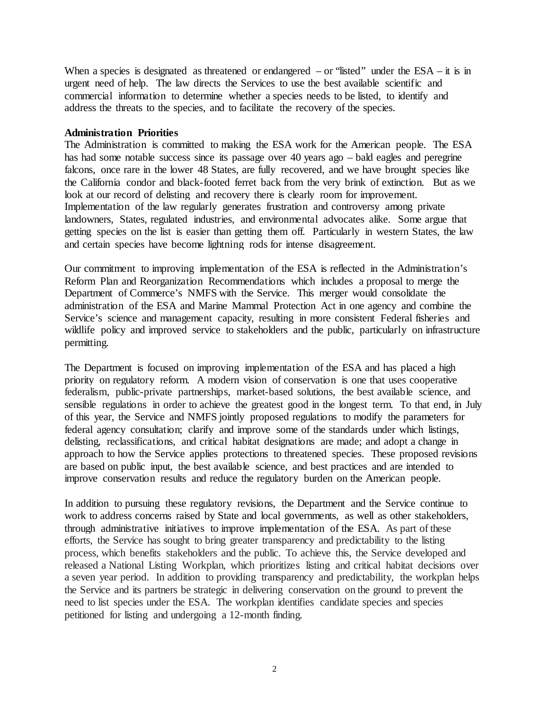When a species is designated as threatened or endangered – or "listed" under the  $ESA - it$  is in urgent need of help. The law directs the Services to use the best available scientific and commercial information to determine whether a species needs to be listed, to identify and address the threats to the species, and to facilitate the recovery of the species.

#### **Administration Priorities**

The Administration is committed to making the ESA work for the American people. The ESA has had some notable success since its passage over 40 years ago – bald eagles and peregrine falcons, once rare in the lower 48 States, are fully recovered, and we have brought species like the California condor and black-footed ferret back from the very brink of extinction. But as we look at our record of delisting and recovery there is clearly room for improvement. Implementation of the law regularly generates frustration and controversy among private landowners, States, regulated industries, and environmental advocates alike. Some argue that getting species on the list is easier than getting them off. Particularly in western States, the law and certain species have become lightning rods for intense disagreement.

Our commitment to improving implementation of the ESA is reflected in the Administration's Reform Plan and Reorganization Recommendations which includes a proposal to merge the Department of Commerce's NMFS with the Service. This merger would consolidate the administration of the ESA and Marine Mammal Protection Act in one agency and combine the Service's science and management capacity, resulting in more consistent Federal fisheries and wildlife policy and improved service to stakeholders and the public, particularly on infrastructure permitting.

The Department is focused on improving implementation of the ESA and has placed a high priority on regulatory reform. A modern vision of conservation is one that uses cooperative federalism, public-private partnerships, market-based solutions, the best available science, and sensible regulations in order to achieve the greatest good in the longest term. To that end, in July of this year, the Service and NMFS jointly proposed regulations to modify the parameters for federal agency consultation; clarify and improve some of the standards under which listings, delisting, reclassifications, and critical habitat designations are made; and adopt a change in approach to how the Service applies protections to threatened species. These proposed revisions are based on public input, the best available science, and best practices and are intended to improve conservation results and reduce the regulatory burden on the American people.

In addition to pursuing these regulatory revisions, the Department and the Service continue to work to address concerns raised by State and local governments, as well as other stakeholders, through administrative initiatives to improve implementation of the ESA. As part of these efforts, the Service has sought to bring greater transparency and predictability to the listing process, which benefits stakeholders and the public. To achieve this, the Service developed and released a National Listing Workplan, which prioritizes listing and critical habitat decisions over a seven year period. In addition to providing transparency and predictability, the workplan helps the Service and its partners be strategic in delivering conservation on the ground to prevent the need to list species under the ESA. The workplan identifies candidate species and species petitioned for listing and undergoing a 12-month finding.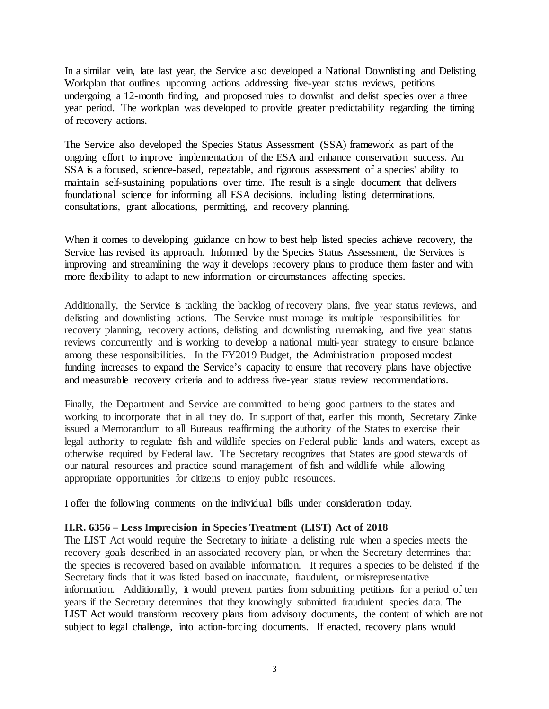In a similar vein, late last year, the Service also developed a National Downlisting and Delisting Workplan that outlines upcoming actions addressing five-year status reviews, petitions undergoing a 12-month finding, and proposed rules to downlist and delist species over a three year period. The workplan was developed to provide greater predictability regarding the timing of recovery actions.

The Service also developed the Species Status Assessment (SSA) framework as part of the ongoing effort to improve implementation of the ESA and enhance conservation success. An SSA is a focused, science-based, repeatable, and rigorous assessment of a species' ability to maintain self-sustaining populations over time. The result is a single document that delivers foundational science for informing all ESA decisions, including listing determinations, consultations, grant allocations, permitting, and recovery planning.

When it comes to developing guidance on how to best help listed species achieve recovery, the Service has revised its approach. Informed by the Species Status Assessment, the Services is improving and streamlining the way it develops recovery plans to produce them faster and with more flexibility to adapt to new information or circumstances affecting species.

Additionally, the Service is tackling the backlog of recovery plans, five year status reviews, and delisting and downlisting actions. The Service must manage its multiple responsibilities for recovery planning, recovery actions, delisting and downlisting rulemaking, and five year status reviews concurrently and is working to develop a national multi-year strategy to ensure balance among these responsibilities. In the FY2019 Budget, the Administration proposed modest funding increases to expand the Service's capacity to ensure that recovery plans have objective and measurable recovery criteria and to address five-year status review recommendations.

Finally, the Department and Service are committed to being good partners to the states and working to incorporate that in all they do. In support of that, earlier this month, Secretary Zinke issued a Memorandum to all Bureaus reaffirming the authority of the States to exercise their legal authority to regulate fish and wildlife species on Federal public lands and waters, except as otherwise required by Federal law. The Secretary recognizes that States are good stewards of our natural resources and practice sound management of fish and wildlife while allowing appropriate opportunities for citizens to enjoy public resources.

I offer the following comments on the individual bills under consideration today.

# **H.R. 6356 – Less Imprecision in Species Treatment (LIST) Act of 2018**

The LIST Act would require the Secretary to initiate a delisting rule when a species meets the recovery goals described in an associated recovery plan, or when the Secretary determines that the species is recovered based on available information. It requires a species to be delisted if the Secretary finds that it was listed based on inaccurate, fraudulent, or misrepresentative information. Additionally, it would prevent parties from submitting petitions for a period of ten years if the Secretary determines that they knowingly submitted fraudulent species data. The LIST Act would transform recovery plans from advisory documents, the content of which are not subject to legal challenge, into action-forcing documents. If enacted, recovery plans would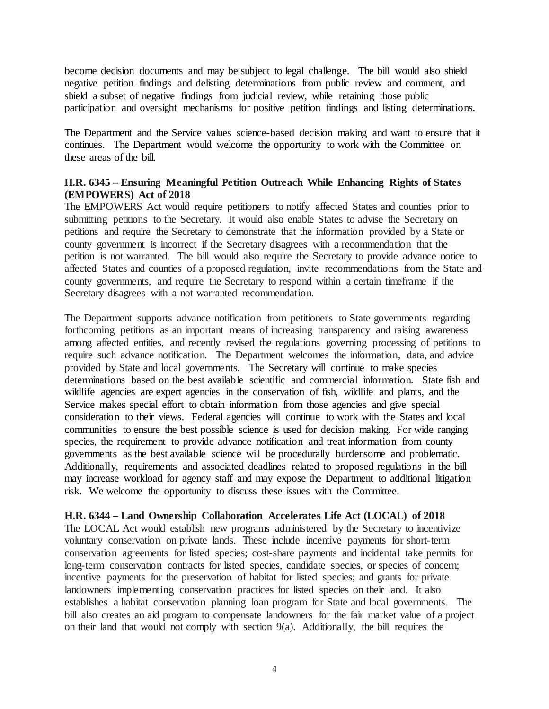become decision documents and may be subject to legal challenge. The bill would also shield negative petition findings and delisting determinations from public review and comment, and shield a subset of negative findings from judicial review, while retaining those public participation and oversight mechanisms for positive petition findings and listing determinations.

The Department and the Service values science-based decision making and want to ensure that it continues. The Department would welcome the opportunity to work with the Committee on these areas of the bill.

#### **H.R. 6345 – Ensuring Meaningful Petition Outreach While Enhancing Rights of States (EMPOWERS) Act of 2018**

The EMPOWERS Act would require petitioners to notify affected States and counties prior to submitting petitions to the Secretary. It would also enable States to advise the Secretary on petitions and require the Secretary to demonstrate that the information provided by a State or county government is incorrect if the Secretary disagrees with a recommendation that the petition is not warranted. The bill would also require the Secretary to provide advance notice to affected States and counties of a proposed regulation, invite recommendations from the State and county governments, and require the Secretary to respond within a certain timeframe if the Secretary disagrees with a not warranted recommendation.

The Department supports advance notification from petitioners to State governments regarding forthcoming petitions as an important means of increasing transparency and raising awareness among affected entities, and recently revised the regulations governing processing of petitions to require such advance notification. The Department welcomes the information, data, and advice provided by State and local governments. The Secretary will continue to make species determinations based on the best available scientific and commercial information. State fish and wildlife agencies are expert agencies in the conservation of fish, wildlife and plants, and the Service makes special effort to obtain information from those agencies and give special consideration to their views. Federal agencies will continue to work with the States and local communities to ensure the best possible science is used for decision making. For wide ranging species, the requirement to provide advance notification and treat information from county governments as the best available science will be procedurally burdensome and problematic. Additionally, requirements and associated deadlines related to proposed regulations in the bill may increase workload for agency staff and may expose the Department to additional litigation risk. We welcome the opportunity to discuss these issues with the Committee.

#### **H.R. 6344 – Land Ownership Collaboration Accelerates Life Act (LOCAL) of 2018**

The LOCAL Act would establish new programs administered by the Secretary to incentivize voluntary conservation on private lands. These include incentive payments for short-term conservation agreements for listed species; cost-share payments and incidental take permits for long-term conservation contracts for listed species, candidate species, or species of concern; incentive payments for the preservation of habitat for listed species; and grants for private landowners implementing conservation practices for listed species on their land. It also establishes a habitat conservation planning loan program for State and local governments. The bill also creates an aid program to compensate landowners for the fair market value of a project on their land that would not comply with section 9(a). Additionally, the bill requires the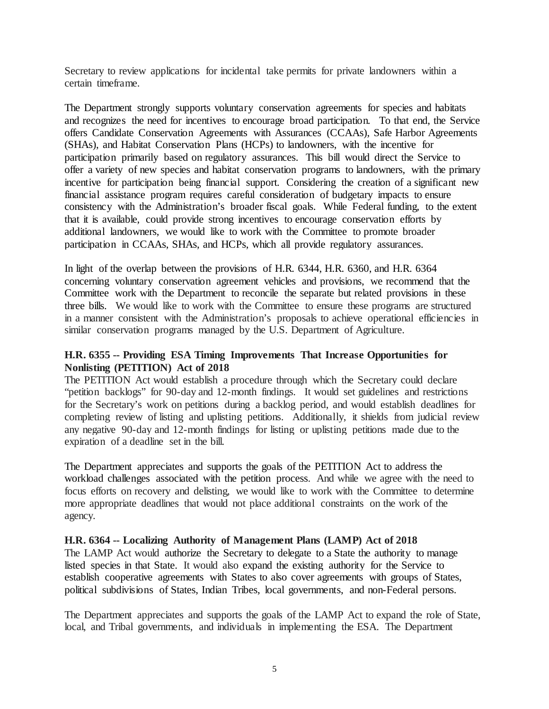Secretary to review applications for incidental take permits for private landowners within a certain timeframe.

The Department strongly supports voluntary conservation agreements for species and habitats and recognizes the need for incentives to encourage broad participation. To that end, the Service offers Candidate Conservation Agreements with Assurances (CCAAs), Safe Harbor Agreements (SHAs), and Habitat Conservation Plans (HCPs) to landowners, with the incentive for participation primarily based on regulatory assurances. This bill would direct the Service to offer a variety of new species and habitat conservation programs to landowners, with the primary incentive for participation being financial support. Considering the creation of a significant new financial assistance program requires careful consideration of budgetary impacts to ensure consistency with the Administration's broader fiscal goals. While Federal funding, to the extent that it is available, could provide strong incentives to encourage conservation efforts by additional landowners, we would like to work with the Committee to promote broader participation in CCAAs, SHAs, and HCPs, which all provide regulatory assurances.

In light of the overlap between the provisions of H.R. 6344, H.R. 6360, and H.R. 6364 concerning voluntary conservation agreement vehicles and provisions, we recommend that the Committee work with the Department to reconcile the separate but related provisions in these three bills. We would like to work with the Committee to ensure these programs are structured in a manner consistent with the Administration's proposals to achieve operational efficiencies in similar conservation programs managed by the U.S. Department of Agriculture.

# **H.R. 6355 -- Providing ESA Timing Improvements That Increase Opportunities for Nonlisting (PETITION) Act of 2018**

The PETITION Act would establish a procedure through which the Secretary could declare "petition backlogs" for 90-day and 12-month findings. It would set guidelines and restrictions for the Secretary's work on petitions during a backlog period, and would establish deadlines for completing review of listing and uplisting petitions. Additionally, it shields from judicial review any negative 90-day and 12-month findings for listing or uplisting petitions made due to the expiration of a deadline set in the bill.

The Department appreciates and supports the goals of the PETITION Act to address the workload challenges associated with the petition process. And while we agree with the need to focus efforts on recovery and delisting, we would like to work with the Committee to determine more appropriate deadlines that would not place additional constraints on the work of the agency.

# **H.R. 6364 -- Localizing Authority of Management Plans (LAMP) Act of 2018**

The LAMP Act would authorize the Secretary to delegate to a State the authority to manage listed species in that State. It would also expand the existing authority for the Service to establish cooperative agreements with States to also cover agreements with groups of States, political subdivisions of States, Indian Tribes, local governments, and non-Federal persons.

The Department appreciates and supports the goals of the LAMP Act to expand the role of State, local, and Tribal governments, and individuals in implementing the ESA. The Department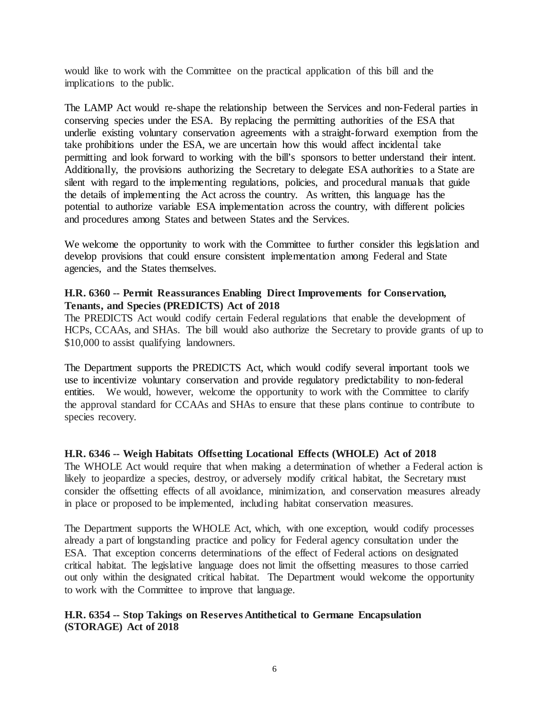would like to work with the Committee on the practical application of this bill and the implications to the public.

The LAMP Act would re-shape the relationship between the Services and non-Federal parties in conserving species under the ESA. By replacing the permitting authorities of the ESA that underlie existing voluntary conservation agreements with a straight-forward exemption from the take prohibitions under the ESA, we are uncertain how this would affect incidental take permitting and look forward to working with the bill's sponsors to better understand their intent. Additionally, the provisions authorizing the Secretary to delegate ESA authorities to a State are silent with regard to the implementing regulations, policies, and procedural manuals that guide the details of implementing the Act across the country. As written, this language has the potential to authorize variable ESA implementation across the country, with different policies and procedures among States and between States and the Services.

We welcome the opportunity to work with the Committee to further consider this legislation and develop provisions that could ensure consistent implementation among Federal and State agencies, and the States themselves.

# **H.R. 6360 -- Permit Reassurances Enabling Direct Improvements for Conservation, Tenants, and Species (PREDICTS) Act of 2018**

The PREDICTS Act would codify certain Federal regulations that enable the development of HCPs, CCAAs, and SHAs. The bill would also authorize the Secretary to provide grants of up to \$10,000 to assist qualifying landowners.

The Department supports the PREDICTS Act, which would codify several important tools we use to incentivize voluntary conservation and provide regulatory predictability to non-federal entities. We would, however, welcome the opportunity to work with the Committee to clarify the approval standard for CCAAs and SHAs to ensure that these plans continue to contribute to species recovery.

# **H.R. 6346 -- Weigh Habitats Offsetting Locational Effects (WHOLE) Act of 2018**

The WHOLE Act would require that when making a determination of whether a Federal action is likely to jeopardize a species, destroy, or adversely modify critical habitat, the Secretary must consider the offsetting effects of all avoidance, minimization, and conservation measures already in place or proposed to be implemented, including habitat conservation measures.

The Department supports the WHOLE Act, which, with one exception, would codify processes already a part of longstanding practice and policy for Federal agency consultation under the ESA. That exception concerns determinations of the effect of Federal actions on designated critical habitat. The legislative language does not limit the offsetting measures to those carried out only within the designated critical habitat. The Department would welcome the opportunity to work with the Committee to improve that language.

# **H.R. 6354 -- Stop Takings on Reserves Antithetical to Germane Encapsulation (STORAGE) Act of 2018**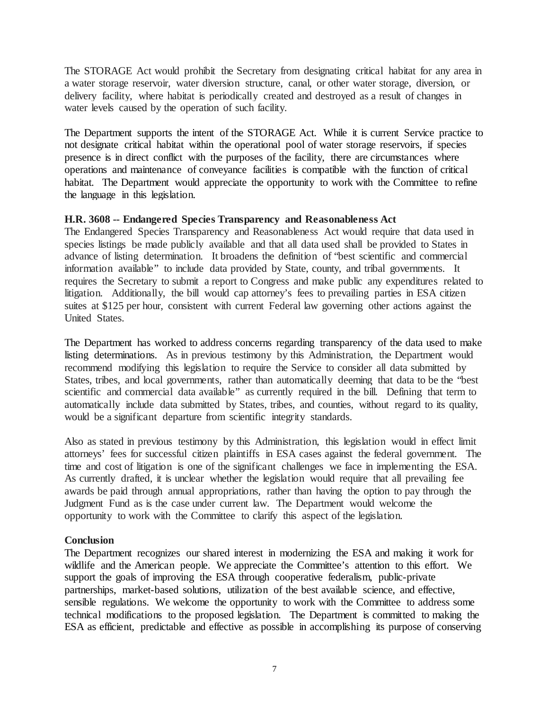The STORAGE Act would prohibit the Secretary from designating critical habitat for any area in a water storage reservoir, water diversion structure, canal, or other water storage, diversion, or delivery facility, where habitat is periodically created and destroyed as a result of changes in water levels caused by the operation of such facility.

The Department supports the intent of the STORAGE Act. While it is current Service practice to not designate critical habitat within the operational pool of water storage reservoirs, if species presence is in direct conflict with the purposes of the facility, there are circumstances where operations and maintenance of conveyance facilities is compatible with the function of critical habitat. The Department would appreciate the opportunity to work with the Committee to refine the language in this legislation.

# **H.R. 3608 -- Endangered Species Transparency and Reasonableness Act**

The Endangered Species Transparency and Reasonableness Act would require that data used in species listings be made publicly available and that all data used shall be provided to States in advance of listing determination. It broadens the definition of "best scientific and commercial information available" to include data provided by State, county, and tribal governments. It requires the Secretary to submit a report to Congress and make public any expenditures related to litigation. Additionally, the bill would cap attorney's fees to prevailing parties in ESA citizen suites at \$125 per hour, consistent with current Federal law governing other actions against the United States.

The Department has worked to address concerns regarding transparency of the data used to make listing determinations. As in previous testimony by this Administration, the Department would recommend modifying this legislation to require the Service to consider all data submitted by States, tribes, and local governments, rather than automatically deeming that data to be the "best scientific and commercial data available" as currently required in the bill. Defining that term to automatically include data submitted by States, tribes, and counties, without regard to its quality, would be a significant departure from scientific integrity standards.

Also as stated in previous testimony by this Administration, this legislation would in effect limit attorneys' fees for successful citizen plaintiffs in ESA cases against the federal government. The time and cost of litigation is one of the significant challenges we face in implementing the ESA. As currently drafted, it is unclear whether the legislation would require that all prevailing fee awards be paid through annual appropriations, rather than having the option to pay through the Judgment Fund as is the case under current law. The Department would welcome the opportunity to work with the Committee to clarify this aspect of the legislation.

# **Conclusion**

The Department recognizes our shared interest in modernizing the ESA and making it work for wildlife and the American people. We appreciate the Committee's attention to this effort. We support the goals of improving the ESA through cooperative federalism, public-private partnerships, market-based solutions, utilization of the best available science, and effective, sensible regulations. We welcome the opportunity to work with the Committee to address some technical modifications to the proposed legislation. The Department is committed to making the ESA as efficient, predictable and effective as possible in accomplishing its purpose of conserving